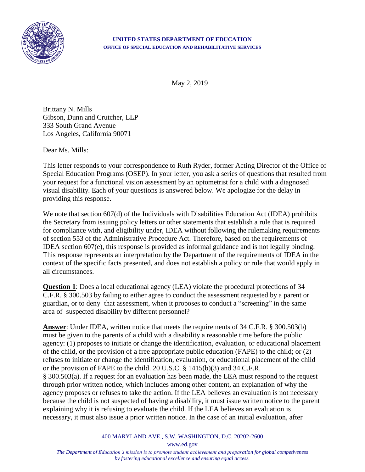

## **UNITED STATES DEPARTMENT OF EDUCATION OFFICE OF SPECIAL EDUCATION AND REHABILITATIVE SERVICES**

May 2, 2019

Brittany N. Mills Gibson, Dunn and Crutcher, LLP 333 South Grand Avenue Los Angeles, California 90071

Dear Ms. Mills:

This letter responds to your correspondence to Ruth Ryder, former Acting Director of the Office of Special Education Programs (OSEP). In your letter, you ask a series of questions that resulted from your request for a functional vision assessment by an optometrist for a child with a diagnosed visual disability. Each of your questions is answered below. We apologize for the delay in providing this response.

We note that section 607(d) of the Individuals with Disabilities Education Act (IDEA) prohibits the Secretary from issuing policy letters or other statements that establish a rule that is required for compliance with, and eligibility under, IDEA without following the rulemaking requirements of section 553 of the Administrative Procedure Act. Therefore, based on the requirements of IDEA section 607(e), this response is provided as informal guidance and is not legally binding. This response represents an interpretation by the Department of the requirements of IDEA in the context of the specific facts presented, and does not establish a policy or rule that would apply in all circumstances.

**Question 1**: Does a local educational agency (LEA) violate the procedural protections of 34 C.F.R. § 300.503 by failing to either agree to conduct the assessment requested by a parent or guardian, or to deny that assessment, when it proposes to conduct a "screening" in the same area of suspected disability by different personnel?

**Answer**: Under IDEA, written notice that meets the requirements of 34 C.F.R. § 300.503(b) must be given to the parents of a child with a disability a reasonable time before the public agency: (1) proposes to initiate or change the identification, evaluation, or educational placement of the child, or the provision of a free appropriate public education (FAPE) to the child; or (2) refuses to initiate or change the identification, evaluation, or educational placement of the child or the provision of FAPE to the child. 20 U.S.C. § 1415(b)(3) and 34 C.F.R. § 300.503(a). If a request for an evaluation has been made, the LEA must respond to the request through prior written notice, which includes among other content, an explanation of why the agency proposes or refuses to take the action. If the LEA believes an evaluation is not necessary because the child is not suspected of having a disability, it must issue written notice to the parent explaining why it is refusing to evaluate the child. If the LEA believes an evaluation is necessary, it must also issue a prior written notice. In the case of an initial evaluation, after

400 MARYLAND AVE., S.W. WASHINGTON, D.C. 20202-2600

www.ed.gov

*The Department of Education's mission is to promote student achievement and preparation for global competiveness by fostering educational excellence and ensuring equal access.*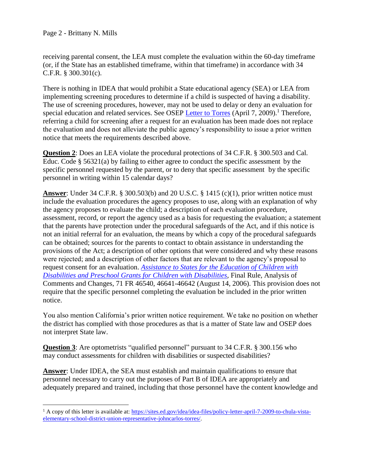$\overline{a}$ 

receiving parental consent, the LEA must complete the evaluation within the 60-day timeframe (or, if the State has an established timeframe, within that timeframe) in accordance with 34 C.F.R. § 300.301(c).

There is nothing in IDEA that would prohibit a State educational agency (SEA) or LEA from implementing screening procedures to determine if a child is suspected of having a disability. The use of screening procedures, however, may not be used to delay or deny an evaluation for special education and related services. See OSEP [Letter to Torres](https://sites.ed.gov/idea/idea-files/policy-letter-april-7-2009-to-chula-vista-elementary-school-district-union-representative-johncarlos-torres/) (April 7, 2009).<sup>1</sup> Therefore, referring a child for screening after a request for an evaluation has been made does not replace the evaluation and does not alleviate the public agency's responsibility to issue a prior written notice that meets the requirements described above.

**Question 2**: Does an LEA violate the procedural protections of 34 C.F.R. § 300.503 and Cal. Educ. Code § 56321(a) by failing to either agree to conduct the specific assessment by the specific personnel requested by the parent, or to deny that specific assessment by the specific personnel in writing within 15 calendar days?

**Answer**: Under 34 C.F.R. § 300.503(b) and 20 U.S.C. § 1415 (c)(1), prior written notice must include the evaluation procedures the agency proposes to use, along with an explanation of why the agency proposes to evaluate the child; a description of each evaluation procedure, assessment, record, or report the agency used as a basis for requesting the evaluation; a statement that the parents have protection under the procedural safeguards of the Act, and if this notice is not an initial referral for an evaluation, the means by which a copy of the procedural safeguards can be obtained; sources for the parents to contact to obtain assistance in understanding the provisions of the Act; a description of other options that were considered and why these reasons were rejected; and a description of other factors that are relevant to the agency's proposal to request consent for an evaluation. *[Assistance to States for the Education of Children with](http://idea.ed.gov/uploads/finalregulations.html)  [Disabilities and Preschool Grants for Children with Disabilities,](http://idea.ed.gov/uploads/finalregulations.html)* Final Rule, Analysis of Comments and Changes, 71 FR 46540, 46641-46642 (August 14, 2006). This provision does not require that the specific personnel completing the evaluation be included in the prior written notice.

You also mention California's prior written notice requirement. We take no position on whether the district has complied with those procedures as that is a matter of State law and OSEP does not interpret State law.

**Question 3**: Are optometrists "qualified personnel" pursuant to 34 C.F.R. § 300.156 who may conduct assessments for children with disabilities or suspected disabilities?

**Answer**: Under IDEA, the SEA must establish and maintain qualifications to ensure that personnel necessary to carry out the purposes of Part B of IDEA are appropriately and adequately prepared and trained, including that those personnel have the content knowledge and

<sup>&</sup>lt;sup>1</sup> A copy of this letter is available at: [https://sites.ed.gov/idea/idea-files/policy-letter-april-7-2009-to-chula-vista](https://sites.ed.gov/idea/idea-files/policy-letter-april-7-2009-to-chula-vista-elementary-school-district-union-representative-johncarlos-torres/)[elementary-school-district-union-representative-johncarlos-torres/.](https://sites.ed.gov/idea/idea-files/policy-letter-april-7-2009-to-chula-vista-elementary-school-district-union-representative-johncarlos-torres/)